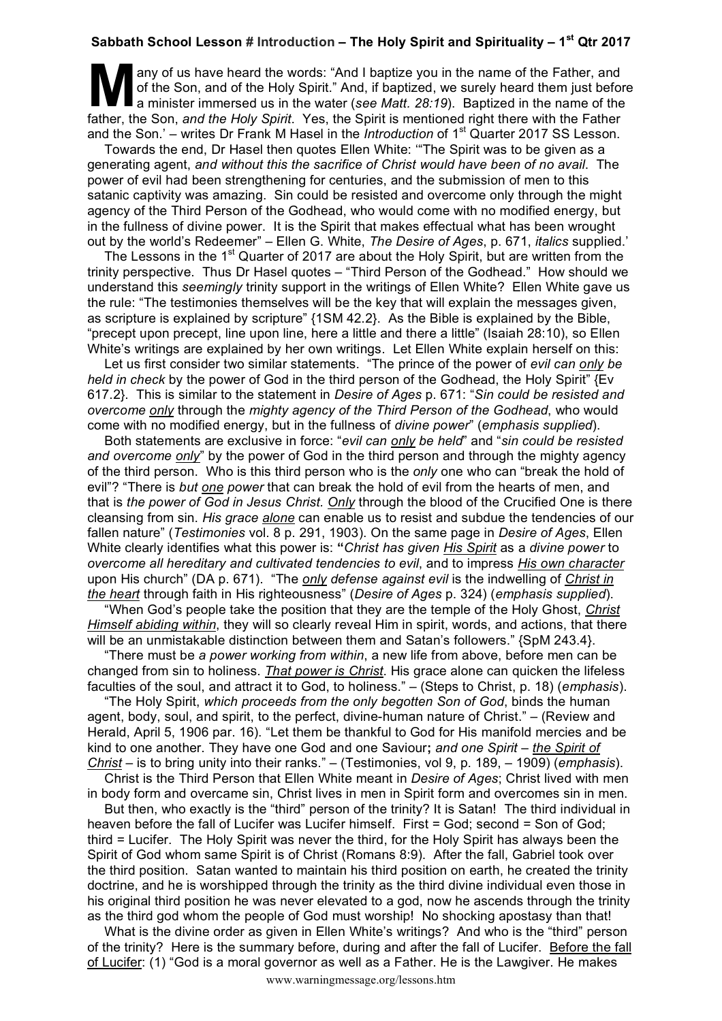## **Sabbath School Lesson # Introduction – The Holy Spirit and Spirituality – 1st Qtr 2017**

any of us have heard the words: "And I baptize you in the name of the Father, and of the Son, and of the Holy Spirit." And, if baptized, we surely heard them just before a minister immersed us in the water (*see Matt. 28:19*). Baptized in the name of the father, the Son, *and the Holy Spirit*. Yes, the Spirit is mentioned right there with the Father and the Son.' – writes Dr Frank M Hasel in the *Introduction* of 1<sup>st</sup> Quarter 2017 SS Lesson. M of t

Towards the end, Dr Hasel then quotes Ellen White: '"The Spirit was to be given as a generating agent, *and without this the sacrifice of Christ would have been of no avail*. The power of evil had been strengthening for centuries, and the submission of men to this satanic captivity was amazing. Sin could be resisted and overcome only through the might agency of the Third Person of the Godhead, who would come with no modified energy, but in the fullness of divine power. It is the Spirit that makes effectual what has been wrought out by the world's Redeemer" – Ellen G. White, *The Desire of Ages*, p. 671, *italics* supplied.'

The Lessons in the 1<sup>st</sup> Quarter of 2017 are about the Holy Spirit, but are written from the trinity perspective. Thus Dr Hasel quotes – "Third Person of the Godhead." How should we understand this *seemingly* trinity support in the writings of Ellen White? Ellen White gave us the rule: "The testimonies themselves will be the key that will explain the messages given, as scripture is explained by scripture" {1SM 42.2}. As the Bible is explained by the Bible, "precept upon precept, line upon line, here a little and there a little" (Isaiah 28:10), so Ellen White's writings are explained by her own writings. Let Ellen White explain herself on this:

Let us first consider two similar statements. "The prince of the power of *evil can only be held in check* by the power of God in the third person of the Godhead, the Holy Spirit" {Ev 617.2}. This is similar to the statement in *Desire of Ages* p. 671: "*Sin could be resisted and overcome only* through the *mighty agency of the Third Person of the Godhead*, who would come with no modified energy, but in the fullness of *divine power*" (*emphasis supplied*).

Both statements are exclusive in force: "*evil can only be held*" and "*sin could be resisted and overcome only*" by the power of God in the third person and through the mighty agency of the third person. Who is this third person who is the *only* one who can "break the hold of evil"? "There is *but one power* that can break the hold of evil from the hearts of men, and that is *the power of God in Jesus Christ. Only* through the blood of the Crucified One is there cleansing from sin. *His grace alone* can enable us to resist and subdue the tendencies of our fallen nature" (*Testimonies* vol. 8 p. 291, 1903). On the same page in *Desire of Ages*, Ellen White clearly identifies what this power is: **"***Christ has given His Spirit* as a *divine power* to *overcome all hereditary and cultivated tendencies to evil*, and to impress *His own character* upon His church" (DA p. 671). "The *only defense against evil* is the indwelling of *Christ in the heart* through faith in His righteousness" (*Desire of Ages* p. 324) (*emphasis supplied*).

"When God's people take the position that they are the temple of the Holy Ghost, *Christ Himself abiding within*, they will so clearly reveal Him in spirit, words, and actions, that there will be an unmistakable distinction between them and Satan's followers." {SpM 243.4}.

"There must be *a power working from within*, a new life from above, before men can be changed from sin to holiness. *That power is Christ*. His grace alone can quicken the lifeless faculties of the soul, and attract it to God, to holiness." – (Steps to Christ, p. 18) (*emphasis*).

"The Holy Spirit, *which proceeds from the only begotten Son of God*, binds the human agent, body, soul, and spirit, to the perfect, divine-human nature of Christ." – (Review and Herald, April 5, 1906 par. 16). "Let them be thankful to God for His manifold mercies and be kind to one another. They have one God and one Saviour**;** *and one Spirit* – *the Spirit of Christ* – is to bring unity into their ranks." – (Testimonies, vol 9, p. 189, – 1909) (*emphasis*).

Christ is the Third Person that Ellen White meant in *Desire of Ages*; Christ lived with men in body form and overcame sin, Christ lives in men in Spirit form and overcomes sin in men.

But then, who exactly is the "third" person of the trinity? It is Satan! The third individual in heaven before the fall of Lucifer was Lucifer himself. First = God; second = Son of God; third = Lucifer. The Holy Spirit was never the third, for the Holy Spirit has always been the Spirit of God whom same Spirit is of Christ (Romans 8:9). After the fall, Gabriel took over the third position. Satan wanted to maintain his third position on earth, he created the trinity doctrine, and he is worshipped through the trinity as the third divine individual even those in his original third position he was never elevated to a god, now he ascends through the trinity as the third god whom the people of God must worship! No shocking apostasy than that!

What is the divine order as given in Ellen White's writings? And who is the "third" person of the trinity? Here is the summary before, during and after the fall of Lucifer. Before the fall of Lucifer: (1) "God is a moral governor as well as a Father. He is the Lawgiver. He makes